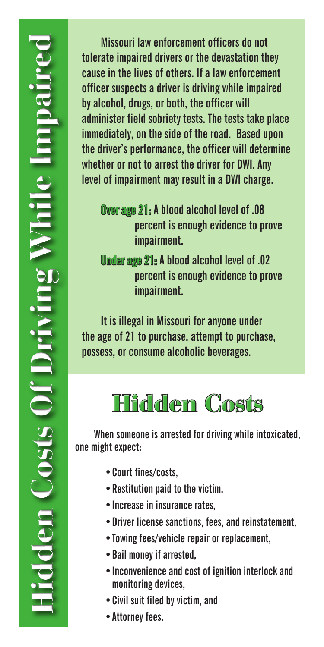**Missouri law enforcement officers do not tolerate impaired drivers or the devastation they cause in the lives of others. If a law enforcement officer suspects a driver is driving while impaired by alcohol, drugs, or both, the officer will administer field sobriety tests. The tests take place immediately, on the side of the road. Based upon the driver's performance, the officer will determine whether or not to arrest the driver for DWI. Any level of impairment may result in a DWI charge.** 

**Over age 21: A blood alcohol level of .08 percent is enough evidence to prove impairment.**

**Under age 21: A blood alcohol level of .02 percent is enough evidence to prove impairment.** 

**It is illegal in Missouri for anyone under the age of 21 to purchase, attempt to purchase, possess, or consume alcoholic beverages.** 

## **Hidden Costs**

**When someone is arrested for driving while intoxicated, one might expect:**

- **•Court fines/costs,**
- **•Restitution paid to the victim,**
- **•Increase in insurance rates,**
- **•Driver license sanctions, fees, and reinstatement,**
- **•Towing fees/vehicle repair or replacement,**
- **•Bail money if arrested,**
- **•Inconvenience and cost of ignition interlock and monitoring devices,**
- **•Civil suit filed by victim, and**
- **•Attorney fees.**